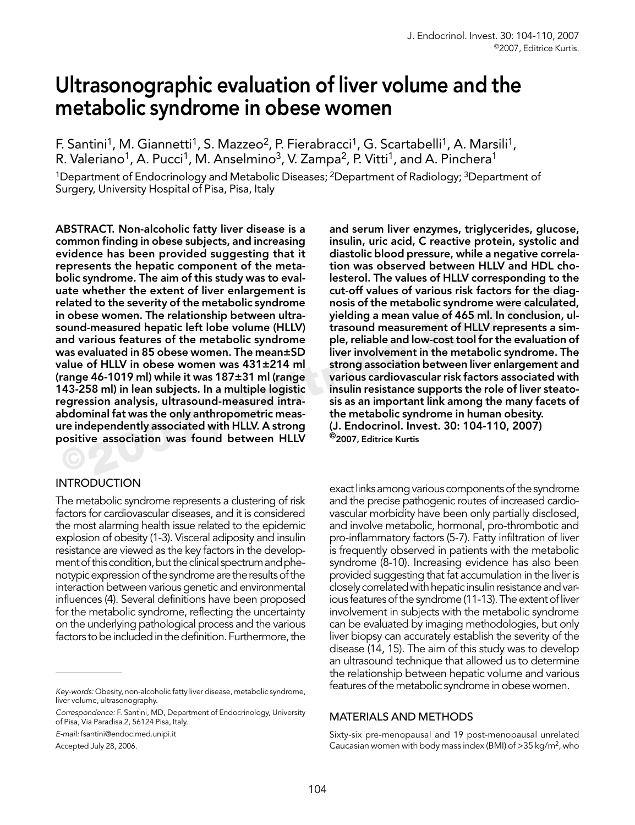# Ultrasonographic evaluation of liver volume and the metabolic syndrome in obese women

F. Santini<sup>1</sup>, M. Giannetti<sup>1</sup>, S. Mazzeo<sup>2</sup>, P. Fierabracci<sup>1</sup>, G. Scartabelli<sup>1</sup>, A. Marsili<sup>1</sup>, R. Valeriano<sup>1</sup>, A. Pucci<sup>1</sup>, M. Anselmino<sup>3</sup>, V. Zampa<sup>2</sup>, P. Vitti<sup>1</sup>, and A. Pinchera<sup>1</sup> <sup>1</sup>Department of Endocrinology and Metabolic Diseases; <sup>2</sup>Department of Radiology; <sup>3</sup>Department of Surgery, University Hospital of Pisa, Pisa, Italy

ate whether the extent of liver enlargement is<br>
elated to the metabolic syndrome mosis of the metabolic syndrome were calculated to the severity of the metabolic syndrome in obses women. The relationship between ultra-<br>
yi ABSTRACT. Non-alcoholic fatty liver disease is a common finding in obese subjects, and increasing evidence has been provided suggesting that it represents the hepatic component of the metabolic syndrome. The aim of this study was to evaluate whether the extent of liver enlargement is related to the severity of the metabolic syndrome in obese women. The relationship between ultrasound-measured hepatic left lobe volume (HLLV) and various features of the metabolic syndrome was evaluated in 85 obese women. The mean±SD value of HLLV in obese women was 431±214 ml (range 46-1019 ml) while it was 187±31 ml (range 143-258 ml) in lean subjects. In a multiple logistic regression analysis, ultrasound-measured intraabdominal fat was the only anthropometric measure independently associated with HLLV. A strong positive association was found between HLLV

# **INTRODUCTION**

The metabolic syndrome represents a clustering of risk factors for cardiovascular diseases, and it is considered the most alarming health issue related to the epidemic explosion of obesity (1-3). Visceral adiposity and insulin resistance are viewed as the key factors in the development of this condition, but the clinical spectrum and phenotypic expression of the syndrome are the results of the interaction between various genetic and environmental influences (4). Several definitions have been proposed for the metabolic syndrome, reflecting the uncertainty on the underlying pathological process and the various factors to be included in the definition. Furthermore, the

E-mail: fsantini@endoc.med.unipi.it Accepted July 28, 2006.

and serum liver enzymes, triglycerides, glucose, insulin, uric acid, C reactive protein, systolic and diastolic blood pressure, while a negative correlation was observed between HLLV and HDL cholesterol. The values of HLLV corresponding to the cut-off values of various risk factors for the diagnosis of the metabolic syndrome were calculated, yielding a mean value of 465 ml. In conclusion, ultrasound measurement of HLLV represents a simple, reliable and low-cost tool for the evaluation of liver involvement in the metabolic syndrome. The strong association between liver enlargement and various cardiovascular risk factors associated with insulin resistance supports the role of liver steatosis as an important link among the many facets of the metabolic syndrome in human obesity. (J. Endocrinol. Invest. 30: 104-110, 2007) ©2007, Editrice Kurtis

exact links among various components of the syndrome and the precise pathogenic routes of increased cardiovascular morbidity have been only partially disclosed, and involve metabolic, hormonal, pro-thrombotic and pro-inflammatory factors (5-7). Fatty infiltration of liver is frequently observed in patients with the metabolic syndrome (8-10). Increasing evidence has also been provided suggesting that fat accumulation in the liver is closely correlated with hepatic insulin resistance and various features of the syndrome (11-13). The extent of liver involvement in subjects with the metabolic syndrome can be evaluated by imaging methodologies, but only liver biopsy can accurately establish the severity of the disease (14, 15). The aim of this study was to develop an ultrasound technique that allowed us to determine the relationship between hepatic volume and various features of the metabolic syndrome in obese women.

## MATERIALS AND METHODS

Sixty-six pre-menopausal and 19 post-menopausal unrelated Caucasian women with body mass index (BMI) of >35 kg/m2, who

Key-words: Obesity, non-alcoholic fatty liver disease, metabolic syndrome, liver volume, ultrasonography.

Correspondence: F. Santini, MD, Department of Endocrinology, University of Pisa, Via Paradisa 2, 56124 Pisa, Italy.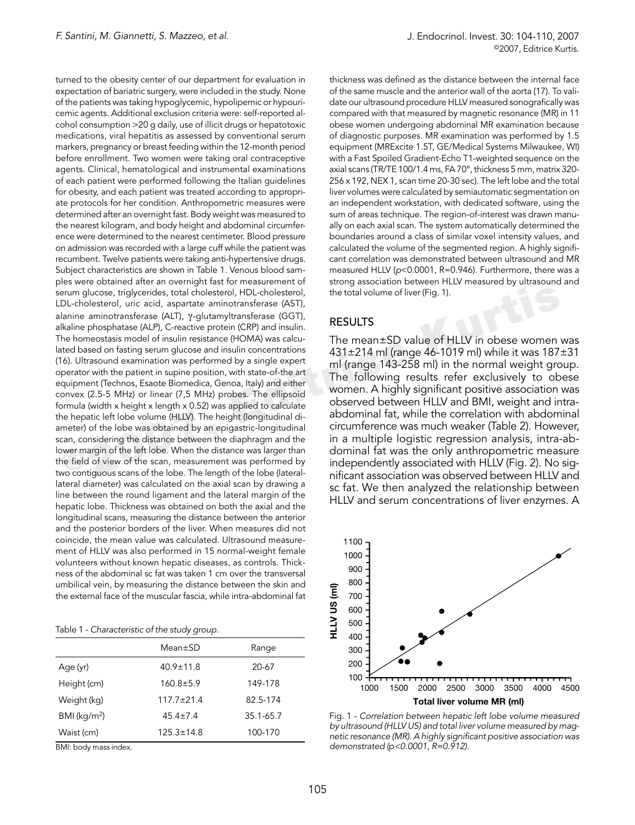erum glucose, triglycerides, total cholesterol, HDL-cholesterol,<br>
DL-cholesterol, uric acid, aspartate aminotransferae (AST),<br>
lladine phosphatase (ALP), C-reactive protein (CRP) and insulin.<br>
lladine phosphatase (ALP), Cturned to the obesity center of our department for evaluation in expectation of bariatric surgery, were included in the study. None of the patients was taking hypoglycemic, hypolipemic or hypouricemic agents. Additional exclusion criteria were: self-reported alcohol consumption >20 g daily, use of illicit drugs or hepatotoxic medications, viral hepatitis as assessed by conventional serum markers, pregnancy or breast feeding within the 12-month period before enrollment. Two women were taking oral contraceptive agents. Clinical, hematological and instrumental examinations of each patient were performed following the Italian guidelines for obesity, and each patient was treated according to appropriate protocols for her condition. Anthropometric measures were determined after an overnight fast. Body weight was measured to the nearest kilogram, and body height and abdominal circumference were determined to the nearest centimeter. Blood pressure on admission was recorded with a large cuff while the patient was recumbent. Twelve patients were taking anti-hypertensive drugs. Subject characteristics are shown in Table 1. Venous blood samples were obtained after an overnight fast for measurement of serum glucose, triglycerides, total cholesterol, HDL-cholesterol, LDL-cholesterol, uric acid, aspartate aminotransferase (AST), alanine aminotransferase (ALT), γ-glutamyltransferase (GGT), alkaline phosphatase (ALP), C-reactive protein (CRP) and insulin. The homeostasis model of insulin resistance (HOMA) was calculated based on fasting serum glucose and insulin concentrations (16). Ultrasound examination was performed by a single expert operator with the patient in supine position, with state-of-the art equipment (Technos, Esaote Biomedica, Genoa, Italy) and either convex (2.5-5 MHz) or linear (7,5 MHz) probes. The ellipsoid formula (width x height x length x 0.52) was applied to calculate the hepatic left lobe volume (HLLV). The height (longitudinal diameter) of the lobe was obtained by an epigastric-longitudinal scan, considering the distance between the diaphragm and the lower margin of the left lobe. When the distance was larger than the field of view of the scan, measurement was performed by two contiguous scans of the lobe. The length of the lobe (laterallateral diameter) was calculated on the axial scan by drawing a line between the round ligament and the lateral margin of the hepatic lobe. Thickness was obtained on both the axial and the longitudinal scans, measuring the distance between the anterior and the posterior borders of the liver. When measures did not coincide, the mean value was calculated. Ultrasound measurement of HLLV was also performed in 15 normal-weight female volunteers without known hepatic diseases, as controls. Thickness of the abdominal sc fat was taken 1 cm over the transversal umbilical vein, by measuring the distance between the skin and the external face of the muscular fascia, while intra-abdominal fat

|                            | $Mean \pm SD$    | Range     |
|----------------------------|------------------|-----------|
| Age (yr)                   | $40.9 \pm 11.8$  | 20-67     |
| Height (cm)                | $160.8 \pm 5.9$  | 149-178   |
| Weight (kg)                | $117.7 + 21.4$   | 82.5-174  |
| $BMI$ (kg/m <sup>2</sup> ) | $45.4 \pm 7.4$   | 35.1-65.7 |
| Waist (cm)                 | $125.3 \pm 14.8$ | 100-170   |

BMI: body mass index.

thickness was defined as the distance between the internal face of the same muscle and the anterior wall of the aorta (17). To validate our ultrasound procedure HLLV measured sonografically was compared with that measured by magnetic resonance (MR) in 11 obese women undergoing abdominal MR examination because of diagnostic purposes. MR examination was performed by 1.5 equipment (MRExcite 1.5T, GE/Medical Systems Milwaukee, WI) with a Fast Spoiled Gradient-Echo T1-weighted sequence on the axial scans (TR/TE 100/1.4 ms, FA 70°, thickness 5 mm, matrix 320- 256 x 192, NEX 1, scan time 20-30 sec). The left lobe and the total liver volumes were calculated by semiautomatic segmentation on an independent workstation, with dedicated software, using the sum of areas technique. The region-of-interest was drawn manually on each axial scan. The system automatically determined the boundaries around a class of similar voxel intensity values, and calculated the volume of the segmented region. A highly significant correlation was demonstrated between ultrasound and MR measured HLLV (p<0.0001, R=0.946). Furthermore, there was a strong association between HLLV measured by ultrasound and the total volume of liver (Fig. 1).

#### RESULTS

The mean±SD value of HLLV in obese women was 431±214 ml (range 46-1019 ml) while it was 187±31 ml (range 143-258 ml) in the normal weight group. The following results refer exclusively to obese women. A highly significant positive association was observed between HLLV and BMI, weight and intraabdominal fat, while the correlation with abdominal circumference was much weaker (Table 2). However, in a multiple logistic regression analysis, intra-abdominal fat was the only anthropometric measure independently associated with HLLV (Fig. 2). No significant association was observed between HLLV and sc fat. We then analyzed the relationship between HLLV and serum concentrations of liver enzymes. A



Fig. 1 - Correlation between hepatic left lobe volume measured by ultrasound (HLLV US) and total liver volume measured by magnetic resonance (MR). A highly significant positive association was demonstrated (p<0.0001, R=0.912).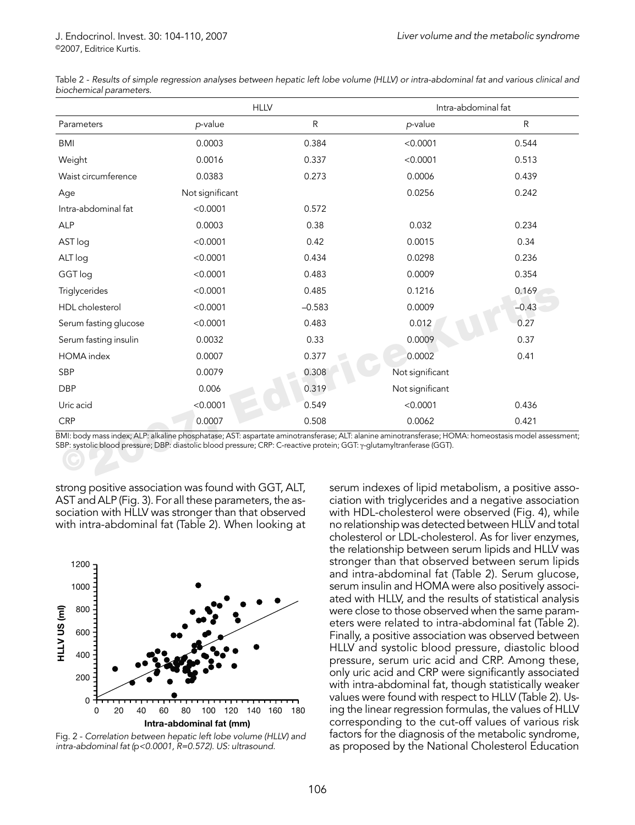|                       | <b>HLLV</b>                                                                                                            |           | Intra-abdominal fat                                                                                                                                 |           |
|-----------------------|------------------------------------------------------------------------------------------------------------------------|-----------|-----------------------------------------------------------------------------------------------------------------------------------------------------|-----------|
| Parameters            | p-value                                                                                                                | ${\sf R}$ | p-value                                                                                                                                             | ${\sf R}$ |
| <b>BMI</b>            | 0.0003                                                                                                                 | 0.384     | < 0.0001                                                                                                                                            | 0.544     |
| Weight                | 0.0016                                                                                                                 | 0.337     | < 0.0001                                                                                                                                            | 0.513     |
| Waist circumference   | 0.0383                                                                                                                 | 0.273     | 0.0006                                                                                                                                              | 0.439     |
| Age                   | Not significant                                                                                                        |           | 0.0256                                                                                                                                              | 0.242     |
| Intra-abdominal fat   | < 0.0001                                                                                                               | 0.572     |                                                                                                                                                     |           |
| <b>ALP</b>            | 0.0003                                                                                                                 | 0.38      | 0.032                                                                                                                                               | 0.234     |
| AST log               | < 0.0001                                                                                                               | 0.42      | 0.0015                                                                                                                                              | 0.34      |
| ALT log               | < 0.0001                                                                                                               | 0.434     | 0.0298                                                                                                                                              | 0.236     |
| GGT log               | < 0.0001                                                                                                               | 0.483     | 0.0009                                                                                                                                              | 0.354     |
| Triglycerides         | < 0.0001                                                                                                               | 0.485     | 0.1216                                                                                                                                              | 0.169     |
| HDL cholesterol       | < 0.0001                                                                                                               | $-0.583$  | 0.0009                                                                                                                                              | $-0.43$   |
| Serum fasting glucose | < 0.0001                                                                                                               | 0.483     | 0.012                                                                                                                                               | 0.27      |
| Serum fasting insulin | 0.0032                                                                                                                 | 0.33      | 0.0009                                                                                                                                              | 0.37      |
| <b>HOMA</b> index     | 0.0007                                                                                                                 | 0.377     | 0.0002                                                                                                                                              | 0.41      |
| <b>SBP</b>            | 0.0079                                                                                                                 | 0.308     | Not significant                                                                                                                                     |           |
| <b>DBP</b>            | 0.006                                                                                                                  | 0.319     | Not significant                                                                                                                                     |           |
| Uric acid             | < 0.0001                                                                                                               | 0.549     | < 0.0001                                                                                                                                            | 0.436     |
| <b>CRP</b>            | 0.0007                                                                                                                 | 0.508     | 0.0062                                                                                                                                              | 0.421     |
|                       | SBP: systolic blood pressure; DBP: diastolic blood pressure; CRP: C-reactive protein; GGT: y-glutamyltranferase (GGT). |           | BMI: body mass index; ALP: alkaline phosphatase; AST: aspartate aminotransferase; ALT: alanine aminotransferase; HOMA: homeostasis model assessment |           |

Table 2 - Results of simple regression analyses between hepatic left lobe volume (HLLV) or intra-abdominal fat and various clinical and biochemical parameters.

strong positive association was found with GGT, ALT, AST and ALP (Fig. 3). For all these parameters, the association with HLLV was stronger than that observed with intra-abdominal fat (Table 2). When looking at



Fig. 2 - Correlation between hepatic left lobe volume (HLLV) and intra-abdominal fat (p<0.0001, R=0.572). US: ultrasound.

serum indexes of lipid metabolism, a positive association with triglycerides and a negative association with HDL-cholesterol were observed (Fig. 4), while no relationship was detected between HLLV and total cholesterol or LDL-cholesterol. As for liver enzymes, the relationship between serum lipids and HLLV was stronger than that observed between serum lipids and intra-abdominal fat (Table 2). Serum glucose, serum insulin and HOMA were also positively associated with HLLV, and the results of statistical analysis were close to those observed when the same parameters were related to intra-abdominal fat (Table 2). Finally, a positive association was observed between HLLV and systolic blood pressure, diastolic blood pressure, serum uric acid and CRP. Among these, only uric acid and CRP were significantly associated with intra-abdominal fat, though statistically weaker values were found with respect to HLLV (Table 2). Using the linear regression formulas, the values of HLLV corresponding to the cut-off values of various risk factors for the diagnosis of the metabolic syndrome, as proposed by the National Cholesterol Education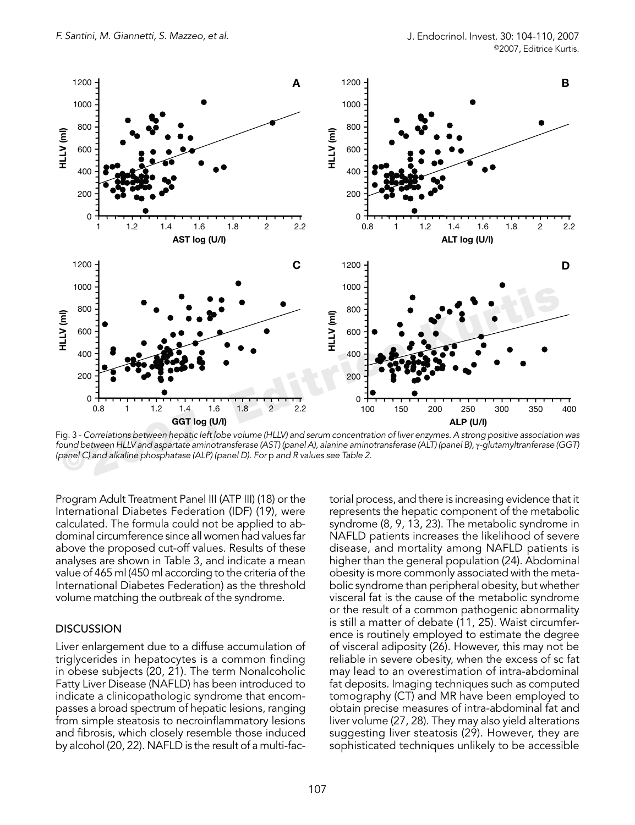

Fig. 3 - Correlations between hepatic left lobe volume (HLLV) and serum concentration of liver enzymes. A strong positive association was found between HLLV and aspartate aminotransferase (AST) (panel A), alanine aminotransferase (ALT) (panel B), γ-glutamyltranferase (GGT) (panel C) and alkaline phosphatase (ALP) (panel D). For p and R values see Table 2.

Program Adult Treatment Panel III (ATP III) (18) or the International Diabetes Federation (IDF) (19), were calculated. The formula could not be applied to abdominal circumference since all women had values far above the proposed cut-off values. Results of these analyses are shown in Table 3, and indicate a mean value of 465 ml (450 ml according to the criteria of the International Diabetes Federation) as the threshold volume matching the outbreak of the syndrome.

## **DISCUSSION**

Liver enlargement due to a diffuse accumulation of triglycerides in hepatocytes is a common finding in obese subjects (20, 21). The term Nonalcoholic Fatty Liver Disease (NAFLD) has been introduced to indicate a clinicopathologic syndrome that encompasses a broad spectrum of hepatic lesions, ranging from simple steatosis to necroinflammatory lesions and fibrosis, which closely resemble those induced by alcohol (20, 22). NAFLD is the result of a multi-fac-

torial process, and there is increasing evidence that it represents the hepatic component of the metabolic syndrome (8, 9, 13, 23). The metabolic syndrome in NAFLD patients increases the likelihood of severe disease, and mortality among NAFLD patients is higher than the general population (24). Abdominal obesity is more commonly associated with the metabolic syndrome than peripheral obesity, but whether visceral fat is the cause of the metabolic syndrome or the result of a common pathogenic abnormality is still a matter of debate (11, 25). Waist circumference is routinely employed to estimate the degree of visceral adiposity (26). However, this may not be reliable in severe obesity, when the excess of sc fat may lead to an overestimation of intra-abdominal fat deposits. Imaging techniques such as computed tomography (CT) and MR have been employed to obtain precise measures of intra-abdominal fat and liver volume (27, 28). They may also yield alterations suggesting liver steatosis (29). However, they are sophisticated techniques unlikely to be accessible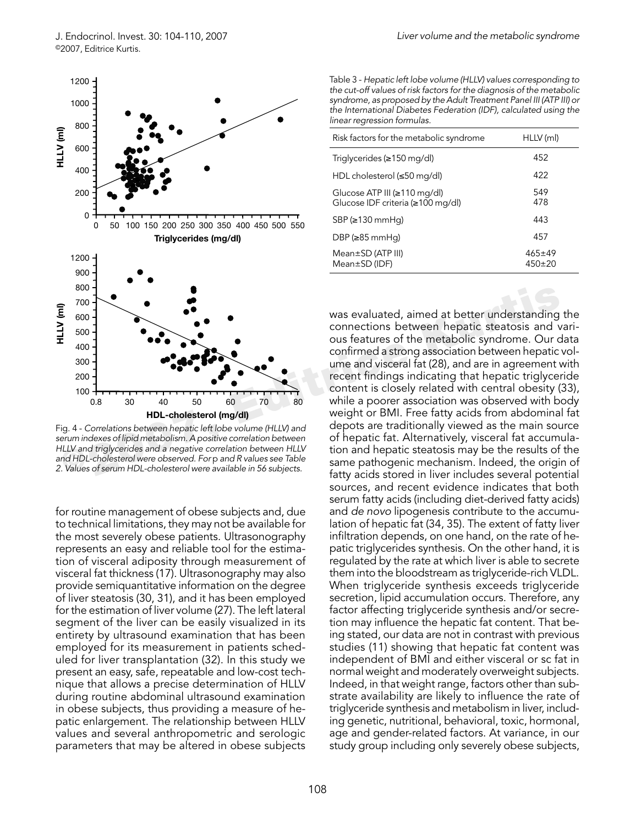

Fig. 4 - Correlations between hepatic left lobe volume (HLLV) and serum indexes of lipid metabolism. A positive correlation between HLLV and triglycerides and a negative correlation between HLLV and HDL-cholesterol were observed. For p and R values see Table 2. Values of serum HDL-cholesterol were available in 56 subjects.

for routine management of obese subjects and, due to technical limitations, they may not be available for the most severely obese patients. Ultrasonography represents an easy and reliable tool for the estimation of visceral adiposity through measurement of visceral fat thickness (17). Ultrasonography may also provide semiquantitative information on the degree of liver steatosis (30, 31), and it has been employed for the estimation of liver volume (27). The left lateral segment of the liver can be easily visualized in its entirety by ultrasound examination that has been employed for its measurement in patients scheduled for liver transplantation (32). In this study we present an easy, safe, repeatable and low-cost technique that allows a precise determination of HLLV during routine abdominal ultrasound examination in obese subjects, thus providing a measure of hepatic enlargement. The relationship between HLLV values and several anthropometric and serologic parameters that may be altered in obese subjects

Table 3 - Hepatic left lobe volume (HLLV) values corresponding to the cut-off values of risk factors for the diagnosis of the metabolic syndrome, as proposed by the Adult Treatment Panel III (ATP III) or the International Diabetes Federation (IDF), calculated using the linear regression formulas.

| Risk factors for the metabolic syndrome                                  | HLLV (ml)                |
|--------------------------------------------------------------------------|--------------------------|
| Triglycerides ( $\geq$ 150 mg/dl)                                        | 452                      |
| HDL cholesterol (≤50 mg/dl)                                              | 422                      |
| Glucose ATP III ( $\geq$ 110 mg/dl)<br>Glucose IDF criteria (≥100 mg/dl) | 549<br>478               |
| $SBP(\geq 130 \text{ mmHg})$                                             | 443                      |
| DBP ( $\geq$ 85 mmHq)                                                    | 457                      |
| $Mean \pm SD$ (ATP III)<br>$Mean \pm SD$ (IDF)                           | $465 \pm 49$<br>$450+20$ |

Fraction of the metal of the metal of the metal of the metal of the metal of the metal of the metal of the metal of the metal of the metal of the metal of the metal of the metal of the metal of the metal of the metal of t was evaluated, aimed at better understanding the connections between hepatic steatosis and various features of the metabolic syndrome. Our data confirmed a strong association between hepatic volume and visceral fat (28), and are in agreement with recent findings indicating that hepatic triglyceride content is closely related with central obesity (33), while a poorer association was observed with body weight or BMI. Free fatty acids from abdominal fat depots are traditionally viewed as the main source of hepatic fat. Alternatively, visceral fat accumulation and hepatic steatosis may be the results of the same pathogenic mechanism. Indeed, the origin of fatty acids stored in liver includes several potential sources, and recent evidence indicates that both serum fatty acids (including diet-derived fatty acids) and de novo lipogenesis contribute to the accumulation of hepatic fat (34, 35). The extent of fatty liver infiltration depends, on one hand, on the rate of hepatic triglycerides synthesis. On the other hand, it is regulated by the rate at which liver is able to secrete them into the bloodstream as triglyceride-rich VLDL. When triglyceride synthesis exceeds triglyceride secretion, lipid accumulation occurs. Therefore, any factor affecting triglyceride synthesis and/or secretion may influence the hepatic fat content. That being stated, our data are not in contrast with previous studies (11) showing that hepatic fat content was independent of BMI and either visceral or sc fat in normal weight and moderately overweight subjects. Indeed, in that weight range, factors other than substrate availability are likely to influence the rate of triglyceride synthesis and metabolism in liver, including genetic, nutritional, behavioral, toxic, hormonal, age and gender-related factors. At variance, in our study group including only severely obese subjects,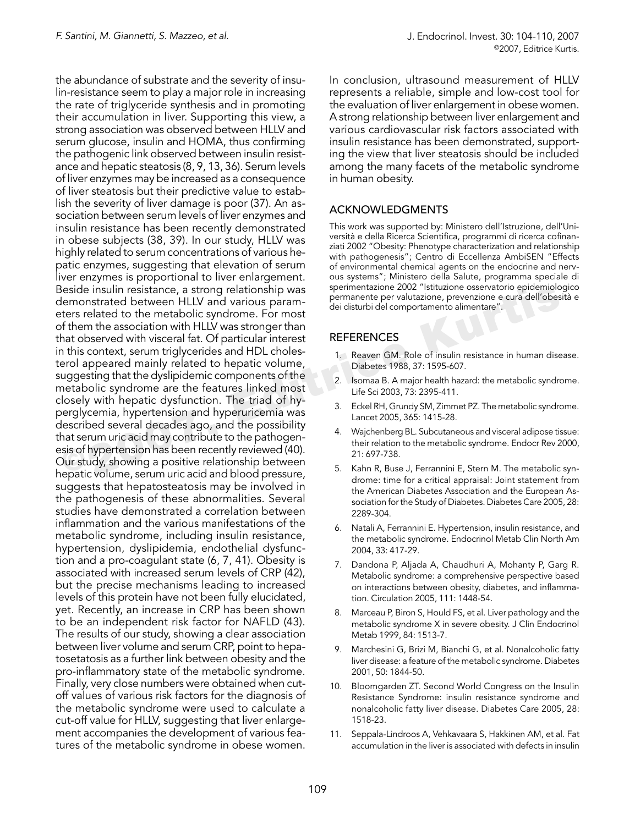Seside insulin resistance, a strong relationship was<br>
seside insulin resistance, a strong relationship was<br>
derivative premanente per valutatione, prevenzione e cura dell'obes<br>
derivative de constants dell'obes<br>
derivative the abundance of substrate and the severity of insulin-resistance seem to play a major role in increasing the rate of triglyceride synthesis and in promoting their accumulation in liver. Supporting this view, a strong association was observed between HLLV and serum glucose, insulin and HOMA, thus confirming the pathogenic link observed between insulin resistance and hepatic steatosis (8, 9, 13, 36). Serum levels of liver enzymes may be increased as a consequence of liver steatosis but their predictive value to establish the severity of liver damage is poor (37). An association between serum levels of liver enzymes and insulin resistance has been recently demonstrated in obese subjects (38, 39). In our study, HLLV was highly related to serum concentrations of various hepatic enzymes, suggesting that elevation of serum liver enzymes is proportional to liver enlargement. Beside insulin resistance, a strong relationship was demonstrated between HLLV and various parameters related to the metabolic syndrome. For most of them the association with HLLV was stronger than that observed with visceral fat. Of particular interest in this context, serum triglycerides and HDL cholesterol appeared mainly related to hepatic volume, suggesting that the dyslipidemic components of the metabolic syndrome are the features linked most closely with hepatic dysfunction. The triad of hyperglycemia, hypertension and hyperuricemia was described several decades ago, and the possibility that serum uric acid may contribute to the pathogenesis of hypertension has been recently reviewed (40). Our study, showing a positive relationship between hepatic volume, serum uric acid and blood pressure, suggests that hepatosteatosis may be involved in the pathogenesis of these abnormalities. Several studies have demonstrated a correlation between inflammation and the various manifestations of the metabolic syndrome, including insulin resistance, hypertension, dyslipidemia, endothelial dysfunction and a pro-coagulant state (6, 7, 41). Obesity is associated with increased serum levels of CRP (42), but the precise mechanisms leading to increased levels of this protein have not been fully elucidated, yet. Recently, an increase in CRP has been shown to be an independent risk factor for NAFLD (43). The results of our study, showing a clear association between liver volume and serum CRP, point to hepatosetatosis as a further link between obesity and the pro-inflammatory state of the metabolic syndrome. Finally, very close numbers were obtained when cutoff values of various risk factors for the diagnosis of the metabolic syndrome were used to calculate a cut-off value for HLLV, suggesting that liver enlargement accompanies the development of various features of the metabolic syndrome in obese women.

In conclusion, ultrasound measurement of HLLV represents a reliable, simple and low-cost tool for the evaluation of liver enlargement in obese women. A strong relationship between liver enlargement and various cardiovascular risk factors associated with insulin resistance has been demonstrated, supporting the view that liver steatosis should be included among the many facets of the metabolic syndrome in human obesity.

## ACKNOWLEDGMENTS

This work was supported by: Ministero dell'Istruzione, dell'Università e della Ricerca Scientifica, programmi di ricerca cofinanziati 2002 "Obesity: Phenotype characterization and relationship with pathogenesis"; Centro di Eccellenza AmbiSEN "Effects of environmental chemical agents on the endocrine and nervous systems"; Ministero della Salute, programma speciale di sperimentazione 2002 "Istituzione osservatorio epidemiologico permanente per valutazione, prevenzione e cura dell'obesità e dei disturbi del comportamento alimentare".

## REFERENCES

- 1. Reaven GM. Role of insulin resistance in human disease. Diabetes 1988, 37: 1595-607.
- 2. Isomaa B. A major health hazard: the metabolic syndrome. Life Sci 2003, 73: 2395-411.
- 3. Eckel RH, Grundy SM, Zimmet PZ. The metabolic syndrome. Lancet 2005, 365: 1415-28.
- 4. Wajchenberg BL. Subcutaneous and visceral adipose tissue: their relation to the metabolic syndrome. Endocr Rev 2000, 21: 697-738.
- 5. Kahn R, Buse J, Ferrannini E, Stern M. The metabolic syndrome: time for a critical appraisal: Joint statement from the American Diabetes Association and the European Association for the Study of Diabetes. Diabetes Care 2005, 28: 2289-304.
- 6. Natali A, Ferrannini E. Hypertension, insulin resistance, and the metabolic syndrome. Endocrinol Metab Clin North Am 2004, 33: 417-29.
- 7. Dandona P, Aljada A, Chaudhuri A, Mohanty P, Garg R. Metabolic syndrome: a comprehensive perspective based on interactions between obesity, diabetes, and inflammation. Circulation 2005, 111: 1448-54.
- 8. Marceau P, Biron S, Hould FS, et al. Liver pathology and the metabolic syndrome X in severe obesity. J Clin Endocrinol Metab 1999, 84: 1513-7.
- 9. Marchesini G, Brizi M, Bianchi G, et al. Nonalcoholic fatty liver disease: a feature of the metabolic syndrome. Diabetes 2001, 50: 1844-50.
- 10. Bloomgarden ZT. Second World Congress on the Insulin Resistance Syndrome: insulin resistance syndrome and nonalcoholic fatty liver disease. Diabetes Care 2005, 28: 1518-23.
- 11. Seppala-Lindroos A, Vehkavaara S, Hakkinen AM, et al. Fat accumulation in the liver is associated with defects in insulin